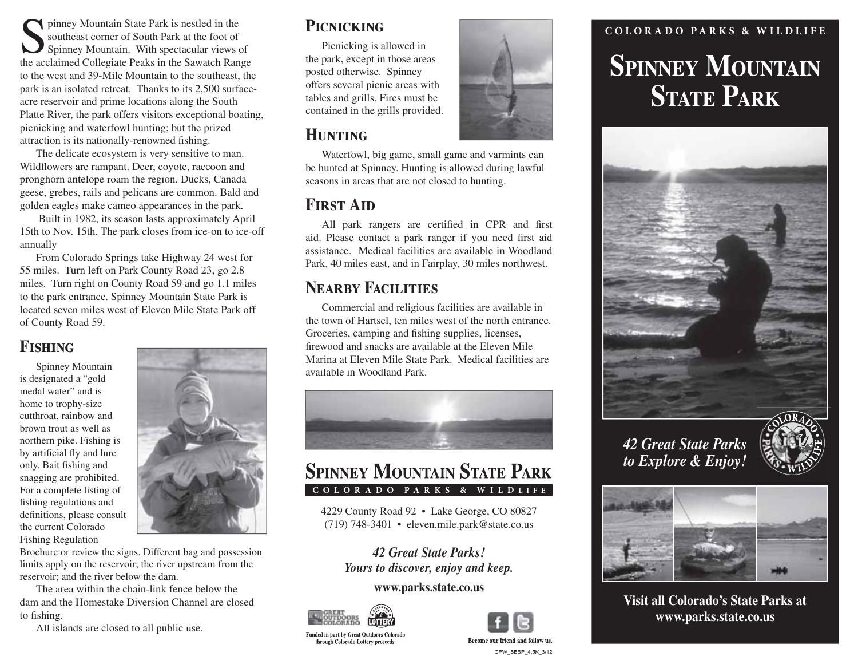Finney Mountain State Park is nestled in the<br>
southeast corner of South Park at the foot of<br>
Spinney Mountain. With spectacular views of y Mou ntain State Park is nestled in the sout heast corner of South Park at the foot of the acclaimed Collegiate Peaks in the Sawatch Range to the west an d 39-Mile Mou ntain to the southeast, the par k is an isolate d retreat. Than ks to its 2,50 0 surfaceacre reservoir and prime locations along the South Platte River, the park offers visitors exce ptional boating, picnicki ng an dwaterfowl hunting; but the prize dattraction is its nationally-renowned fishing.

The delicate ecos ystem is ver y sensitive to man. Wildflowers are rampant. Deer, coyote, raccoo n an dpronghorn antelope roam the region. Duc ks, Canada geese, grebes, rails and pelicans are common. Bald and golden eagles ma ke cameo appearances in the park.

Built in 1982, its season lasts approximately April 15th to Nov. 15th. The park closes from ice-on to ice-off annuall y

From Colorado Springs take Highwa y 24 west for 55 miles. Turn left on Park Count y Road 23, go 2.8 miles. Tur n right on County Roa d 59 an d go 1.1 miles to the par k entrance. Spinne y Mountain State Par k is located seve n miles west of Eleve n Mile State Park off of Count y Roa d 59.

## **Fishing**

Spinney Mountain is designated <sup>a</sup> "gold medal water" and is ho me to trop hy-size cutthroat, rainbo w and brown trout as well asnorthern pike. Fishing is by artificial fly and lure only. Bait fishing and snagging are prohibited. For a complete listing of fishing regulations and definitions, please consult the current ColoradoFishing Regulation



Brochure or review the signs. Different bag and possession limits apply on the reservoir; the river upstrea m fro m the reservoir; and the river below the dam.

 The area withi n the chain-lin k fe nce below the dam and the Homestake Diversion Channel are close dto fishing.

All islands are closed to all public use.

## **Picnicking**

 Picnicking is allowed in the par k, excep<sup>t</sup> in those areas poste d otherwise. Spinne y offers se veral picnic areas with tables an d grills. Fires must be co ntained in the grills provided.

## **Hunting**

 Waterfowl, big game, small game an d varmints ca n be hunte d at Spinney. Hunting is allowed during lawful seasons in areas that are not close d to hunting.

## **First Aid**

 All par k rangers are certified in CPR an d first aid. Please co ntact a par k ranger if you need first aid assistance. Medical facilities are available in Woodland Par k, 40 miles east, an d in Fairplay, 30 miles northwest.

## **Nearby Facilities**

Commercial and religious facilities are available i n the town of Hartsel, ten miles west of the north entrance. Groceries, camping an d fishing supplies, licenses, firewood and snacks are available at the Eleven Mile Marina at Eleve n Mile State Park. Medical facilities are available in Woodland Park.



## **SPINNEY MOUNTAIN STATE PARK COLORADO PARKS & WILD LIFE**

4229 Count y Road 92 • La ke George, CO 80827 (719) 748-3401 • eleven.mile.par k@state.co.us

*42 Great State Parks!Yours to discover, enjoy and keep.*

#### **www.par ks.state.co.us**



through Colorado Lottery proceeds.



Become our friend and follow us CPW\_SESP\_4.5K\_3/12

# **COLOR ADO PARKS & WILDLIFESPINNEY MOUNTAIN STATE PARK**



**Visit all Colorado's State Parks atwww.parks.state.co.us**